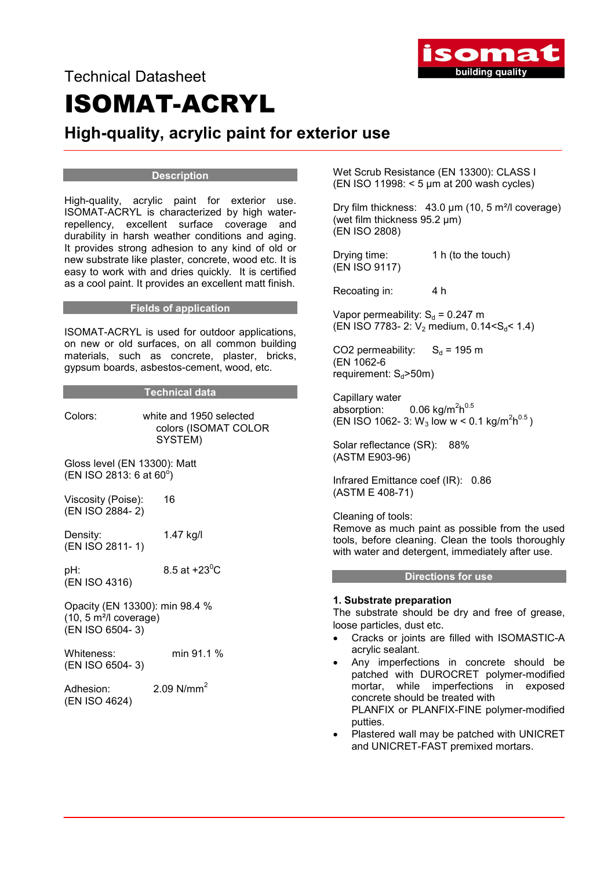

# Technical Datasheet ISOMAT-ACRYL

# High-quality, acrylic paint for exterior use

# **Description**

High-quality, acrylic paint for exterior use. ISOMAT-ACRYL is characterized by high waterrepellency, excellent surface coverage and durability in harsh weather conditions and aging. It provides strong adhesion to any kind of old or new substrate like plaster, concrete, wood etc. It is easy to work with and dries quickly. It is certified as a cool paint. It provides an excellent matt finish.

# Fields of application

ISOMAT-ACRYL is used for outdoor applications, on new or old surfaces, on all common building materials, such as concrete, plaster, bricks, gypsum boards, asbestos-cement, wood, etc.

# Technical data

Colors: white and 1950 selected colors (ISOMAT COLOR SYSTEM)

Gloss level (EN 13300): Matt  $(EN ISO 2813: 6 at 60^6)$ 

Viscosity (Poise): 16 (EN ISO 2884- 2)

Density: 1.47 kg/l (EN ISO 2811- 1)

pH:  $8.5$  at +23 $^{\rm o}$ C (EN ISO 4316)

Opacity (EN 13300): min 98.4 % (10, 5 m²/l coverage) (EN ISO 6504- 3)

Whiteness: min 91.1 % (EN ISO 6504- 3)

Adhesion: 2.09 N/mm<sup>2</sup> (EN ISO 4624)

Wet Scrub Resistance (EN 13300): CLASS I (EN ISO 11998: < 5 μm at 200 wash cycles)

Dry film thickness: 43.0 μm (10, 5 m²/l coverage) (wet film thickness 95.2 μm) (EN ISO 2808)

Drying time: 1 h (to the touch) (EN ISO 9117)

Recoating in: 4 h

Vapor permeability:  $S_d = 0.247$  m (EN ISO 7783- 2:  $V_2$  medium, 0.14<S<sub>d</sub>< 1.4)

CO2 permeability:  $S_d = 195$  m (EN 1062-6 requirement:  $S_d$ >50m)

Capillary water absorption:  $0.06 \text{ kg/m}^2\text{h}^{0.5}$  $(EN \rvert \rvert SO \rvert 1062 - 3: W_3 \rvert \rvert \rvert O \rvert W \rvert \rvert O \rvert 1 \rvert \rvert O \rvert^2 \rvert O \rvert^5)$ 

Solar reflectance (SR): 88% (ASTM E903-96)

Infrared Emittance coef (IR): 0.86 (ASTM E 408-71)

Cleaning of tools: Remove as much paint as possible from the used tools, before cleaning. Clean the tools thoroughly with water and detergent, immediately after use.

#### Directions for use

# 1. Substrate preparation

The substrate should be dry and free of grease, loose particles, dust etc.

- Cracks or joints are filled with ISOMASTIC-A acrylic sealant.
- Any imperfections in concrete should be patched with DUROCRET polymer-modified mortar, while imperfections in exposed concrete should be treated with PLANFIX or PLANFIX-FINE polymer-modified putties.
- Plastered wall may be patched with UNICRET and UNICRET-FAST premixed mortars.